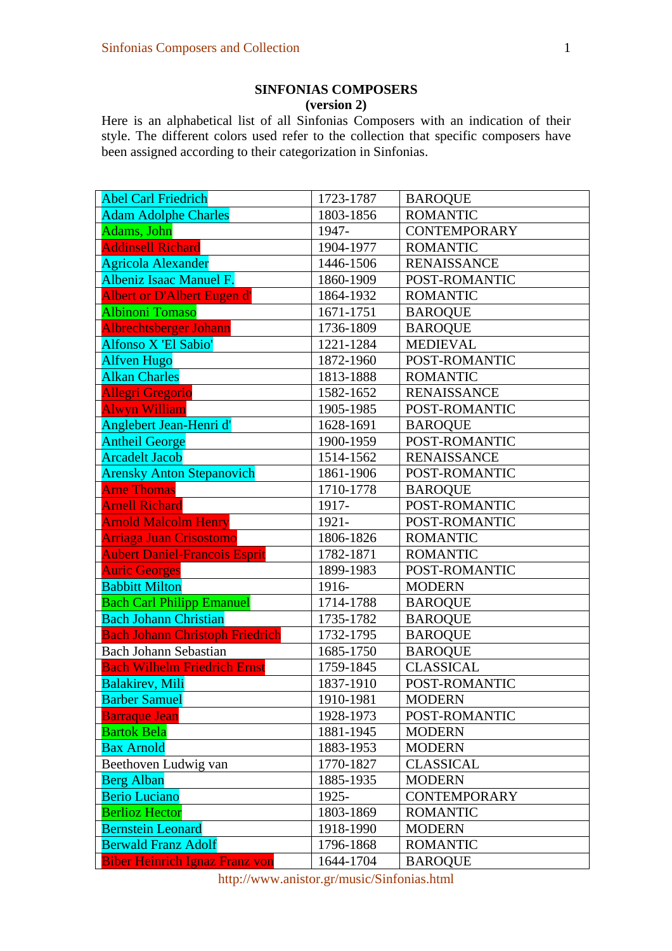## **SINFONIAS COMPOSERS (version 2)**

Here is an alphabetical list of all Sinfonias Composers with an indication of their style. The different colors used refer to the collection that specific composers have been assigned according to their categorization in Sinfonias.

| <b>Abel Carl Friedrich</b>             | 1723-1787 | <b>BAROQUE</b>      |
|----------------------------------------|-----------|---------------------|
| <b>Adam Adolphe Charles</b>            | 1803-1856 | <b>ROMANTIC</b>     |
| Adams, John                            | 1947-     | <b>CONTEMPORARY</b> |
| <b>Addinsell Richard</b>               | 1904-1977 | <b>ROMANTIC</b>     |
| <b>Agricola Alexander</b>              | 1446-1506 | <b>RENAISSANCE</b>  |
| Albeniz Isaac Manuel F.                | 1860-1909 | POST-ROMANTIC       |
| Albert or D'Albert Eugen d'            | 1864-1932 | <b>ROMANTIC</b>     |
| <b>Albinoni Tomaso</b>                 | 1671-1751 | <b>BAROQUE</b>      |
| Albrechtsberger Johann                 | 1736-1809 | <b>BAROQUE</b>      |
| Alfonso X 'El Sabio'                   | 1221-1284 | <b>MEDIEVAL</b>     |
| <b>Alfven Hugo</b>                     | 1872-1960 | POST-ROMANTIC       |
| <b>Alkan Charles</b>                   | 1813-1888 | <b>ROMANTIC</b>     |
| <b>Allegri Gregorio</b>                | 1582-1652 | <b>RENAISSANCE</b>  |
| <b>Alwyn William</b>                   | 1905-1985 | POST-ROMANTIC       |
| Anglebert Jean-Henri d'                | 1628-1691 | <b>BAROQUE</b>      |
| <b>Antheil George</b>                  | 1900-1959 | POST-ROMANTIC       |
| <b>Arcadelt Jacob</b>                  | 1514-1562 | <b>RENAISSANCE</b>  |
| <b>Arensky Anton Stepanovich</b>       | 1861-1906 | POST-ROMANTIC       |
| <b>Arne Thomas</b>                     | 1710-1778 | <b>BAROQUE</b>      |
| <b>Arnell Richard</b>                  | 1917-     | POST-ROMANTIC       |
| <b>Arnold Malcolm Henry</b>            | 1921-     | POST-ROMANTIC       |
| <b>Arriaga Juan Crisostomo</b>         | 1806-1826 | <b>ROMANTIC</b>     |
| <b>Aubert Daniel-Francois Esprit</b>   | 1782-1871 | <b>ROMANTIC</b>     |
| <b>Auric Georges</b>                   | 1899-1983 | POST-ROMANTIC       |
| <b>Babbitt Milton</b>                  | 1916-     | <b>MODERN</b>       |
| <b>Bach Carl Philipp Emanuel</b>       | 1714-1788 | <b>BAROQUE</b>      |
| <b>Bach Johann Christian</b>           | 1735-1782 | <b>BAROQUE</b>      |
| <b>Bach Johann Christoph Friedrich</b> | 1732-1795 | <b>BAROQUE</b>      |
| <b>Bach Johann Sebastian</b>           | 1685-1750 | <b>BAROQUE</b>      |
| <b>Bach Wilhelm Friedrich Ernst</b>    | 1759-1845 | <b>CLASSICAL</b>    |
| <b>Balakirev</b> , Mili                | 1837-1910 | POST-ROMANTIC       |
| <b>Barber Samuel</b>                   | 1910-1981 | <b>MODERN</b>       |
| <b>Barraque Jean</b>                   | 1928-1973 | POST-ROMANTIC       |
| <b>Bartok Bela</b>                     | 1881-1945 | <b>MODERN</b>       |
| <b>Bax Arnold</b>                      | 1883-1953 | <b>MODERN</b>       |
| Beethoven Ludwig van                   | 1770-1827 | <b>CLASSICAL</b>    |
| <b>Berg Alban</b>                      | 1885-1935 | <b>MODERN</b>       |
| <b>Berio Luciano</b>                   | 1925-     | <b>CONTEMPORARY</b> |
| <b>Berlioz Hector</b>                  | 1803-1869 | <b>ROMANTIC</b>     |
| <b>Bernstein Leonard</b>               | 1918-1990 | <b>MODERN</b>       |
| <b>Berwald Franz Adolf</b>             | 1796-1868 | <b>ROMANTIC</b>     |
| <b>Biber Heinrich Ignaz Franz von</b>  | 1644-1704 | <b>BAROQUE</b>      |

http://www.anistor.gr/music/Sinfonias.html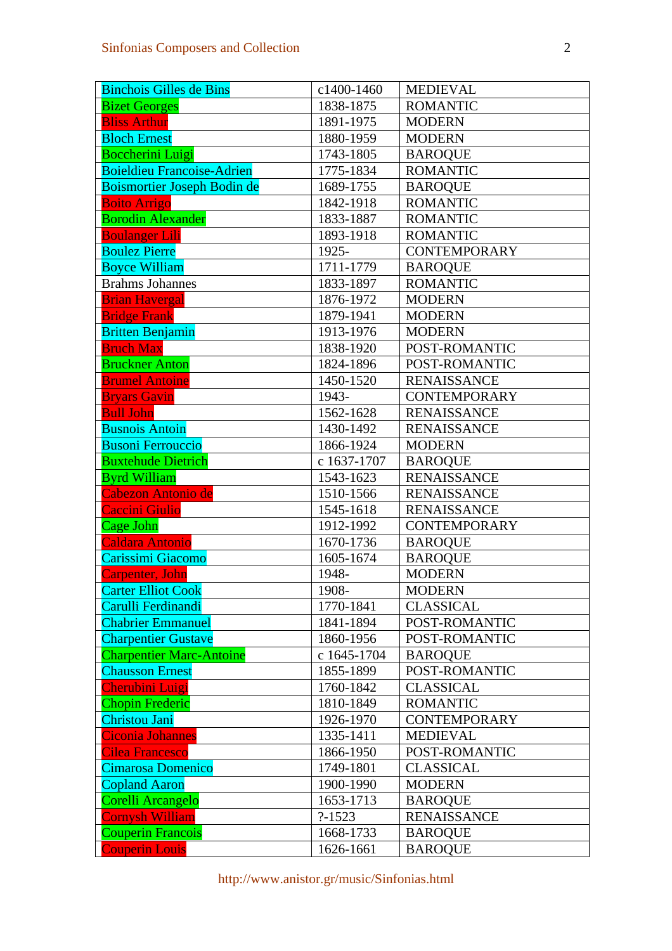| <b>Binchois Gilles de Bins</b>    | c1400-1460  | <b>MEDIEVAL</b>                      |
|-----------------------------------|-------------|--------------------------------------|
| <b>Bizet Georges</b>              | 1838-1875   | <b>ROMANTIC</b>                      |
| <b>Bliss Arthur</b>               | 1891-1975   | <b>MODERN</b>                        |
| <b>Bloch Ernest</b>               | 1880-1959   | <b>MODERN</b>                        |
| <b>Boccherini Luigi</b>           | 1743-1805   | <b>BAROQUE</b>                       |
| <b>Boieldieu Francoise-Adrien</b> | 1775-1834   | <b>ROMANTIC</b>                      |
| Boismortier Joseph Bodin de       | 1689-1755   | <b>BAROQUE</b>                       |
| <b>Boito Arrigo</b>               | 1842-1918   | <b>ROMANTIC</b>                      |
| <b>Borodin Alexander</b>          | 1833-1887   | <b>ROMANTIC</b>                      |
| <b>Boulanger Lili</b>             | 1893-1918   | <b>ROMANTIC</b>                      |
| <b>Boulez Pierre</b>              | 1925-       | <b>CONTEMPORARY</b>                  |
| <b>Boyce William</b>              | 1711-1779   | <b>BAROQUE</b>                       |
| <b>Brahms Johannes</b>            | 1833-1897   | <b>ROMANTIC</b>                      |
| <b>Brian Havergal</b>             | 1876-1972   | <b>MODERN</b>                        |
| <b>Bridge Frank</b>               | 1879-1941   | <b>MODERN</b>                        |
| <b>Britten Benjamin</b>           | 1913-1976   | <b>MODERN</b>                        |
| <b>Bruch Max</b>                  | 1838-1920   | POST-ROMANTIC                        |
| <b>Bruckner Anton</b>             | 1824-1896   | POST-ROMANTIC                        |
| <b>Brumel Antoine</b>             | 1450-1520   | <b>RENAISSANCE</b>                   |
| <b>Bryars Gavin</b>               | 1943-       | <b>CONTEMPORARY</b>                  |
| <b>Bull John</b>                  | 1562-1628   | <b>RENAISSANCE</b>                   |
| <b>Busnois Antoin</b>             | 1430-1492   | <b>RENAISSANCE</b>                   |
| <b>Busoni Ferrouccio</b>          | 1866-1924   | <b>MODERN</b>                        |
| <b>Buxtehude Dietrich</b>         | c 1637-1707 | <b>BAROQUE</b>                       |
| <b>Byrd William</b>               | 1543-1623   | <b>RENAISSANCE</b>                   |
| <b>Cabezon Antonio de</b>         | 1510-1566   | <b>RENAISSANCE</b>                   |
| Caccini Giulio                    | 1545-1618   | <b>RENAISSANCE</b>                   |
| <b>Cage John</b>                  | 1912-1992   | <b>CONTEMPORARY</b>                  |
| <b>Caldara Antonio</b>            | 1670-1736   | <b>BAROQUE</b>                       |
| Carissimi Giacomo                 | 1605-1674   | <b>BAROQUE</b>                       |
| <b>Carpenter</b> , John           | 1948-       | <b>MODERN</b>                        |
| <b>Carter Elliot Cook</b>         | 1908-       | <b>MODERN</b>                        |
| Carulli Ferdinandi                | 1770-1841   | <b>CLASSICAL</b>                     |
| <b>Chabrier Emmanuel</b>          | 1841-1894   | POST-ROMANTIC                        |
| <b>Charpentier Gustave</b>        | 1860-1956   | POST-ROMANTIC                        |
| <b>Charpentier Marc-Antoine</b>   | c 1645-1704 | <b>BAROQUE</b>                       |
| <b>Chausson Ernest</b>            | 1855-1899   | POST-ROMANTIC                        |
| <b>Cherubini Luigi</b>            | 1760-1842   | <b>CLASSICAL</b>                     |
| <b>Chopin Frederic</b>            | 1810-1849   | <b>ROMANTIC</b>                      |
| <b>Christou Jani</b>              | 1926-1970   | <b>CONTEMPORARY</b>                  |
| <b>Ciconia Johannes</b>           | 1335-1411   | <b>MEDIEVAL</b>                      |
| <b>Cilea Francesco</b>            | 1866-1950   | POST-ROMANTIC                        |
| Cimarosa Domenico                 | 1749-1801   | <b>CLASSICAL</b>                     |
| <b>Copland Aaron</b>              | 1900-1990   | <b>MODERN</b>                        |
| Corelli Arcangelo                 | 1653-1713   | <b>BAROQUE</b>                       |
| <b>Cornysh William</b>            | $? - 1523$  | <b>RENAISSANCE</b><br><b>BAROQUE</b> |
| <b>Couperin Francois</b>          | 1668-1733   |                                      |
| <b>Couperin Louis</b>             | 1626-1661   | <b>BAROQUE</b>                       |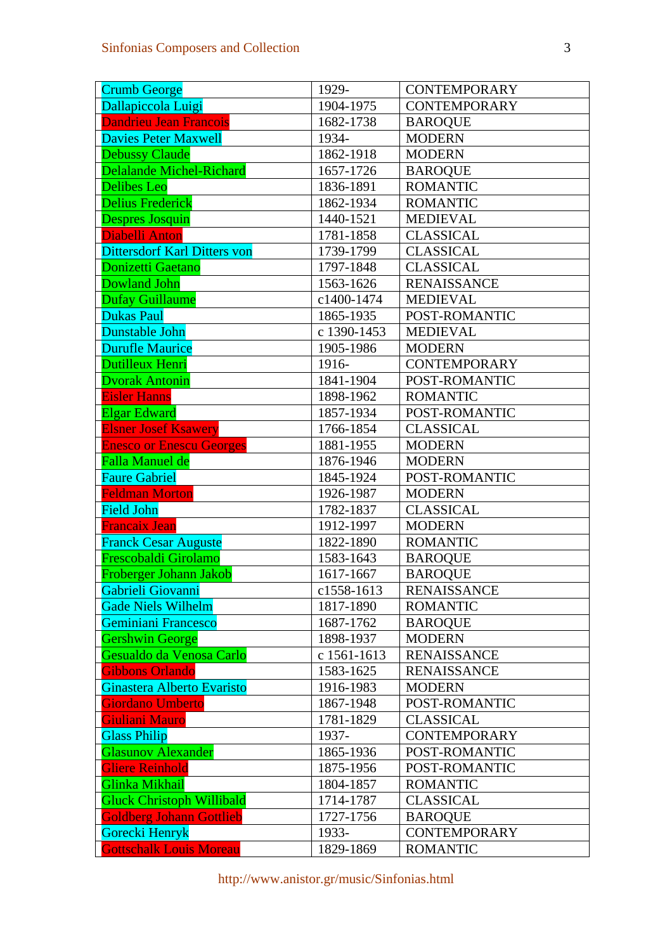| <b>Crumb George</b>                                | 1929-                    | <b>CONTEMPORARY</b>                      |
|----------------------------------------------------|--------------------------|------------------------------------------|
| Dallapiccola Luigi                                 | 1904-1975                | <b>CONTEMPORARY</b>                      |
| <b>Dandrieu Jean Francois</b>                      | 1682-1738                | <b>BAROQUE</b>                           |
| <b>Davies Peter Maxwell</b>                        | 1934-                    | <b>MODERN</b>                            |
| <b>Debussy Claude</b>                              | 1862-1918                | <b>MODERN</b>                            |
| <b>Delalande Michel-Richard</b>                    | 1657-1726                | <b>BAROQUE</b>                           |
| <b>Delibes Leo</b>                                 | 1836-1891                | <b>ROMANTIC</b>                          |
| <b>Delius Frederick</b>                            | 1862-1934                | <b>ROMANTIC</b>                          |
| <b>Despres Josquin</b>                             | 1440-1521                | <b>MEDIEVAL</b>                          |
| <b>Diabelli Anton</b>                              | 1781-1858                | <b>CLASSICAL</b>                         |
| <b>Dittersdorf Karl Ditters von</b>                | 1739-1799                | <b>CLASSICAL</b>                         |
| Donizetti Gaetano                                  | 1797-1848                | <b>CLASSICAL</b>                         |
| <b>Dowland John</b>                                | 1563-1626                | <b>RENAISSANCE</b>                       |
| <b>Dufay Guillaume</b>                             | c1400-1474               | <b>MEDIEVAL</b>                          |
| <b>Dukas Paul</b>                                  | 1865-1935                | POST-ROMANTIC                            |
| Dunstable John                                     | c 1390-1453              | <b>MEDIEVAL</b>                          |
| <b>Durufle Maurice</b>                             | 1905-1986                | <b>MODERN</b>                            |
| Dutilleux Henri                                    | 1916-                    | <b>CONTEMPORARY</b>                      |
| <b>Dvorak Antonin</b>                              | 1841-1904                | POST-ROMANTIC                            |
| <b>Eisler Hanns</b>                                | 1898-1962                | <b>ROMANTIC</b>                          |
| <b>Elgar Edward</b>                                | 1857-1934                | POST-ROMANTIC                            |
| <b>Elsner Josef Ksawery</b>                        | 1766-1854                | <b>CLASSICAL</b>                         |
| <b>Enesco or Enescu Georges</b>                    | 1881-1955                | <b>MODERN</b>                            |
| <b>Falla Manuel de</b>                             | 1876-1946                | <b>MODERN</b>                            |
| <b>Faure Gabriel</b>                               | 1845-1924                | POST-ROMANTIC                            |
| <b>Feldman Morton</b>                              | 1926-1987                | <b>MODERN</b>                            |
| <b>Field John</b>                                  | 1782-1837                | <b>CLASSICAL</b>                         |
| <b>Francaix Jean</b>                               | 1912-1997                | <b>MODERN</b>                            |
| <b>Franck Cesar Auguste</b>                        | 1822-1890                | <b>ROMANTIC</b>                          |
| Frescobaldi Girolamo                               | 1583-1643                | <b>BAROQUE</b>                           |
| Froberger Johann Jakob                             | 1617-1667                | <b>BAROQUE</b>                           |
| Gabrieli Giovanni                                  | c1558-1613               | <b>RENAISSANCE</b>                       |
| <b>Gade Niels Wilhelm</b>                          | 1817-1890                | <b>ROMANTIC</b>                          |
| Geminiani Francesco                                | 1687-1762                | <b>BAROQUE</b>                           |
| <b>Gershwin George</b><br>Gesualdo da Venosa Carlo | 1898-1937<br>c 1561-1613 | <b>MODERN</b>                            |
| <b>Gibbons Orlando</b>                             |                          | <b>RENAISSANCE</b><br><b>RENAISSANCE</b> |
| Ginastera Alberto Evaristo                         | 1583-1625<br>1916-1983   | <b>MODERN</b>                            |
| <b>Giordano Umberto</b>                            | 1867-1948                | POST-ROMANTIC                            |
| Giuliani Mauro                                     | 1781-1829                | <b>CLASSICAL</b>                         |
| <b>Glass Philip</b>                                | 1937-                    | <b>CONTEMPORARY</b>                      |
| <b>Glasunov Alexander</b>                          | 1865-1936                | POST-ROMANTIC                            |
| <b>Gliere Reinhold</b>                             | 1875-1956                | POST-ROMANTIC                            |
| Glinka Mikhail                                     | 1804-1857                | <b>ROMANTIC</b>                          |
| <b>Gluck Christoph Willibald</b>                   | 1714-1787                | <b>CLASSICAL</b>                         |
| <b>Goldberg Johann Gottlieb</b>                    | 1727-1756                | <b>BAROQUE</b>                           |
| Gorecki Henryk                                     | 1933-                    | <b>CONTEMPORARY</b>                      |
| <b>Gottschalk Louis Moreau</b>                     | 1829-1869                | <b>ROMANTIC</b>                          |
|                                                    |                          |                                          |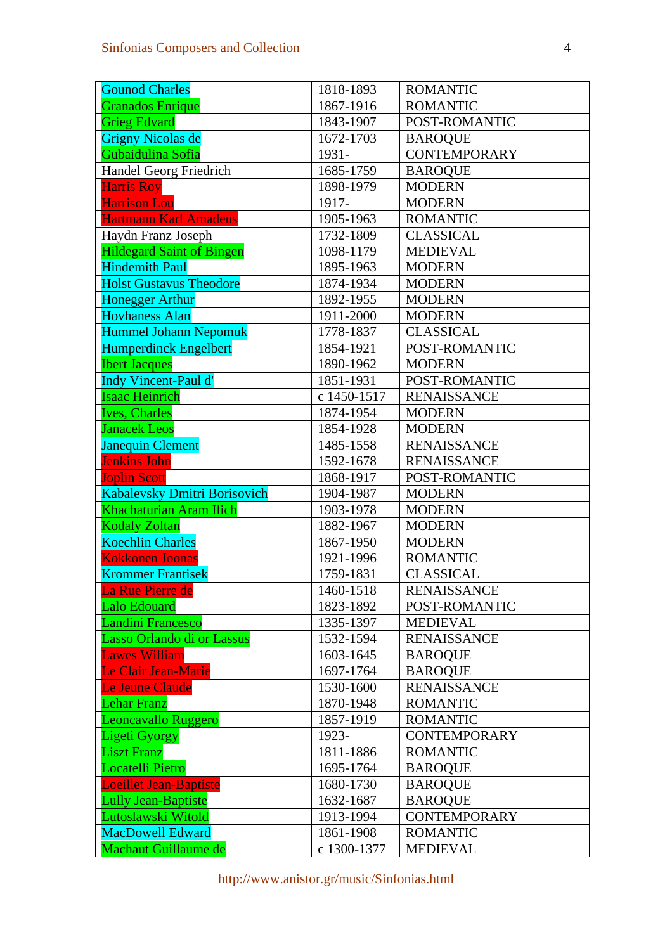| <b>Gounod Charles</b>               | 1818-1893   | <b>ROMANTIC</b>     |
|-------------------------------------|-------------|---------------------|
| <b>Granados Enrique</b>             | 1867-1916   | <b>ROMANTIC</b>     |
| <b>Grieg Edvard</b>                 | 1843-1907   | POST-ROMANTIC       |
| <b>Grigny Nicolas de</b>            | 1672-1703   | <b>BAROQUE</b>      |
| Gubaidulina Sofia                   | 1931-       | <b>CONTEMPORARY</b> |
| Handel Georg Friedrich              | 1685-1759   | <b>BAROQUE</b>      |
| <b>Harris Roy</b>                   | 1898-1979   | <b>MODERN</b>       |
| <b>Harrison Lou</b>                 | 1917-       | <b>MODERN</b>       |
| <b>Hartmann Karl Amadeus</b>        | 1905-1963   | <b>ROMANTIC</b>     |
| Haydn Franz Joseph                  | 1732-1809   | <b>CLASSICAL</b>    |
| <b>Hildegard Saint of Bingen</b>    | 1098-1179   | <b>MEDIEVAL</b>     |
| <b>Hindemith Paul</b>               | 1895-1963   | <b>MODERN</b>       |
| <b>Holst Gustavus Theodore</b>      | 1874-1934   | <b>MODERN</b>       |
| <b>Honegger Arthur</b>              | 1892-1955   | <b>MODERN</b>       |
| <b>Hovhaness Alan</b>               | 1911-2000   | <b>MODERN</b>       |
| <b>Hummel Johann Nepomuk</b>        | 1778-1837   | <b>CLASSICAL</b>    |
| <b>Humperdinck Engelbert</b>        | 1854-1921   | POST-ROMANTIC       |
| <b>Ibert Jacques</b>                | 1890-1962   | <b>MODERN</b>       |
| <b>Indy Vincent-Paul d'</b>         | 1851-1931   | POST-ROMANTIC       |
| <b>Isaac Heinrich</b>               | c 1450-1517 | <b>RENAISSANCE</b>  |
| <b>Ives, Charles</b>                | 1874-1954   | <b>MODERN</b>       |
| <b>Janacek Leos</b>                 | 1854-1928   | <b>MODERN</b>       |
| <b>Janequin Clement</b>             | 1485-1558   | <b>RENAISSANCE</b>  |
| <b>Jenkins John</b>                 | 1592-1678   | <b>RENAISSANCE</b>  |
| <b>Joplin Scott</b>                 | 1868-1917   | POST-ROMANTIC       |
| <b>Kabalevsky Dmitri Borisovich</b> | 1904-1987   | <b>MODERN</b>       |
| <b>Khachaturian Aram Ilich</b>      | 1903-1978   | <b>MODERN</b>       |
| <b>Kodaly Zoltan</b>                | 1882-1967   | <b>MODERN</b>       |
| <b>Koechlin Charles</b>             | 1867-1950   | <b>MODERN</b>       |
| <b>Kokkonen Joonas</b>              | 1921-1996   | <b>ROMANTIC</b>     |
| <b>Krommer Frantisek</b>            | 1759-1831   | <b>CLASSICAL</b>    |
| La Rue Pierre de                    | 1460-1518   | <b>RENAISSANCE</b>  |
| <b>Lalo Edouard</b>                 | 1823-1892   | POST-ROMANTIC       |
| <b>Landini Francesco</b>            | 1335-1397   | <b>MEDIEVAL</b>     |
| Lasso Orlando di or Lassus          | 1532-1594   | <b>RENAISSANCE</b>  |
| <b>Lawes William</b>                | 1603-1645   | <b>BAROQUE</b>      |
| Le Clair Jean-Marie                 | 1697-1764   | <b>BAROQUE</b>      |
| <b>Le Jeune Claude</b>              | 1530-1600   | <b>RENAISSANCE</b>  |
| <b>Lehar Franz</b>                  | 1870-1948   | <b>ROMANTIC</b>     |
| Leoncavallo Ruggero                 | 1857-1919   | <b>ROMANTIC</b>     |
| <b>Ligeti Gyorgy</b>                | 1923-       | <b>CONTEMPORARY</b> |
| <b>Liszt Franz</b>                  | 1811-1886   | <b>ROMANTIC</b>     |
| <b>Locatelli Pietro</b>             | 1695-1764   | <b>BAROQUE</b>      |
| Loeillet Jean-Baptiste              | 1680-1730   | <b>BAROQUE</b>      |
| <b>Lully Jean-Baptiste</b>          | 1632-1687   | <b>BAROQUE</b>      |
| Lutoslawski Witold                  | 1913-1994   | <b>CONTEMPORARY</b> |
| <b>MacDowell Edward</b>             | 1861-1908   | <b>ROMANTIC</b>     |
| Machaut Guillaume de                | c 1300-1377 | <b>MEDIEVAL</b>     |

http://www.anistor.gr/music/Sinfonias.html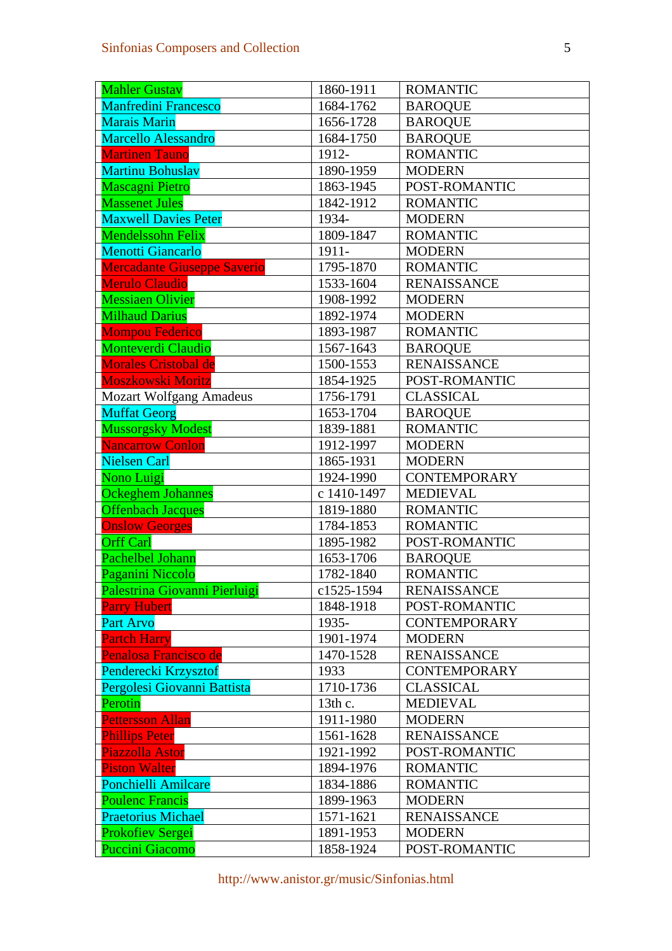| <b>Mahler Gustav</b>           | 1860-1911   | <b>ROMANTIC</b>     |
|--------------------------------|-------------|---------------------|
| <b>Manfredini Francesco</b>    | 1684-1762   | <b>BAROQUE</b>      |
| <b>Marais Marin</b>            | 1656-1728   | <b>BAROQUE</b>      |
| <b>Marcello Alessandro</b>     | 1684-1750   | <b>BAROQUE</b>      |
| <b>Martinen Tauno</b>          | 1912-       | <b>ROMANTIC</b>     |
| <b>Martinu Bohuslav</b>        | 1890-1959   | <b>MODERN</b>       |
| <b>Mascagni Pietro</b>         | 1863-1945   | POST-ROMANTIC       |
| <b>Massenet Jules</b>          | 1842-1912   | <b>ROMANTIC</b>     |
| <b>Maxwell Davies Peter</b>    | 1934-       | <b>MODERN</b>       |
| <b>Mendelssohn Felix</b>       | 1809-1847   | <b>ROMANTIC</b>     |
| <b>Menotti Giancarlo</b>       | 1911-       | <b>MODERN</b>       |
| Mercadante Giuseppe Saverio    | 1795-1870   | <b>ROMANTIC</b>     |
| <b>Merulo Claudio</b>          | 1533-1604   | <b>RENAISSANCE</b>  |
| <b>Messiaen Olivier</b>        | 1908-1992   | <b>MODERN</b>       |
| <b>Milhaud Darius</b>          | 1892-1974   | <b>MODERN</b>       |
| <b>Mompou Federico</b>         | 1893-1987   | <b>ROMANTIC</b>     |
| <b>Monteverdi Claudio</b>      | 1567-1643   | <b>BAROQUE</b>      |
| <b>Morales Cristobal de</b>    | 1500-1553   | <b>RENAISSANCE</b>  |
| <b>Moszkowski Moritz</b>       | 1854-1925   | POST-ROMANTIC       |
| <b>Mozart Wolfgang Amadeus</b> | 1756-1791   | <b>CLASSICAL</b>    |
| <b>Muffat Georg</b>            | 1653-1704   | <b>BAROQUE</b>      |
| <b>Mussorgsky Modest</b>       | 1839-1881   | <b>ROMANTIC</b>     |
| <b>Nancarrow Conlon</b>        | 1912-1997   | <b>MODERN</b>       |
| <b>Nielsen Carl</b>            | 1865-1931   | <b>MODERN</b>       |
| Nono Luigi                     | 1924-1990   | <b>CONTEMPORARY</b> |
| <b>Ockeghem Johannes</b>       | c 1410-1497 | <b>MEDIEVAL</b>     |
| <b>Offenbach Jacques</b>       | 1819-1880   | <b>ROMANTIC</b>     |
| <b>Onslow Georges</b>          | 1784-1853   | <b>ROMANTIC</b>     |
| <b>Orff Carl</b>               | 1895-1982   | POST-ROMANTIC       |
| Pachelbel Johann               | 1653-1706   | <b>BAROQUE</b>      |
| Paganini Niccolo               | 1782-1840   | <b>ROMANTIC</b>     |
| Palestrina Giovanni Pierluigi  | c1525-1594  | <b>RENAISSANCE</b>  |
| <b>Parry Hubert</b>            | 1848-1918   | POST-ROMANTIC       |
| <b>Part Arvo</b>               | 1935-       | <b>CONTEMPORARY</b> |
| <b>Partch Harry</b>            | 1901-1974   | <b>MODERN</b>       |
| Penalosa Francisco de          | 1470-1528   | <b>RENAISSANCE</b>  |
| Penderecki Krzysztof           | 1933        | <b>CONTEMPORARY</b> |
| Pergolesi Giovanni Battista    | 1710-1736   | <b>CLASSICAL</b>    |
| Perotin                        | 13th c.     | <b>MEDIEVAL</b>     |
| <b>Pettersson Allan</b>        | 1911-1980   | <b>MODERN</b>       |
| <b>Phillips Peter</b>          | 1561-1628   | <b>RENAISSANCE</b>  |
| <b>Piazzolla Astor</b>         | 1921-1992   | POST-ROMANTIC       |
| <b>Piston Walter</b>           | 1894-1976   | <b>ROMANTIC</b>     |
| Ponchielli Amilcare            | 1834-1886   | <b>ROMANTIC</b>     |
| <b>Poulenc Francis</b>         | 1899-1963   | <b>MODERN</b>       |
| <b>Praetorius Michael</b>      | 1571-1621   | <b>RENAISSANCE</b>  |
| <b>Prokofiev Sergei</b>        | 1891-1953   | <b>MODERN</b>       |
| <b>Puccini Giacomo</b>         | 1858-1924   | POST-ROMANTIC       |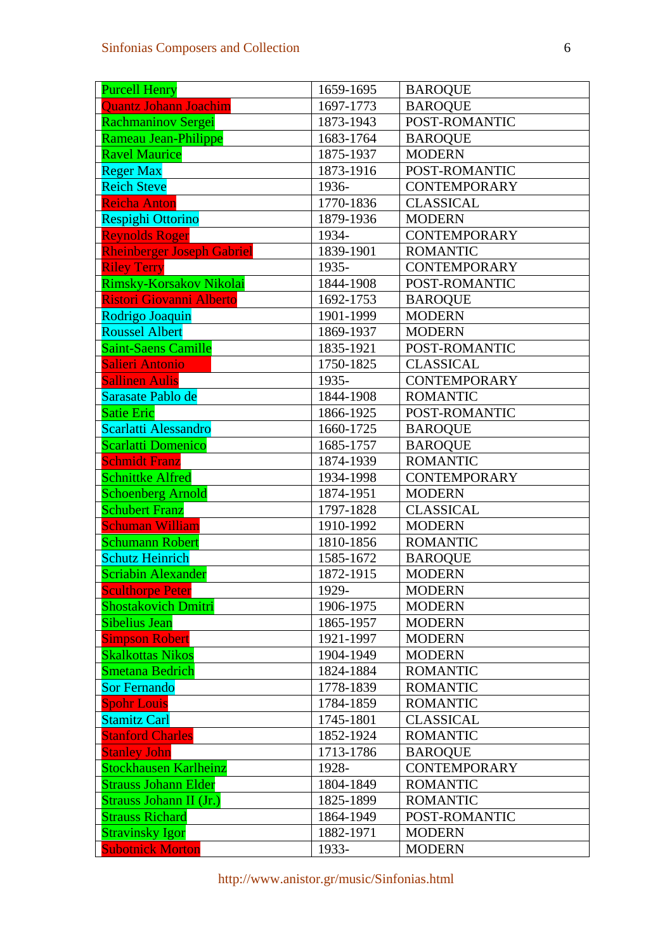| <b>Purcell Henry</b>              | 1659-1695 | <b>BAROQUE</b>      |
|-----------------------------------|-----------|---------------------|
| <b>Quantz Johann Joachim</b>      | 1697-1773 | <b>BAROQUE</b>      |
| Rachmaninov Sergei                | 1873-1943 | POST-ROMANTIC       |
| Rameau Jean-Philippe              | 1683-1764 | <b>BAROQUE</b>      |
| <b>Ravel Maurice</b>              | 1875-1937 | <b>MODERN</b>       |
| <b>Reger Max</b>                  | 1873-1916 | POST-ROMANTIC       |
| <b>Reich Steve</b>                | 1936-     | <b>CONTEMPORARY</b> |
| Reicha Anton                      | 1770-1836 | <b>CLASSICAL</b>    |
| <b>Respighi Ottorino</b>          | 1879-1936 | <b>MODERN</b>       |
| <b>Reynolds Roger</b>             | 1934-     | <b>CONTEMPORARY</b> |
| <b>Rheinberger Joseph Gabriel</b> | 1839-1901 | <b>ROMANTIC</b>     |
| <b>Riley Terry</b>                | 1935-     | <b>CONTEMPORARY</b> |
| Rimsky-Korsakov Nikolai           | 1844-1908 | POST-ROMANTIC       |
| <b>Ristori Giovanni Alberto</b>   | 1692-1753 | <b>BAROQUE</b>      |
| Rodrigo Joaquin                   | 1901-1999 | <b>MODERN</b>       |
| <b>Roussel Albert</b>             | 1869-1937 | <b>MODERN</b>       |
| Saint-Saens Camille               | 1835-1921 | POST-ROMANTIC       |
| <b>Salieri Antonio</b>            | 1750-1825 | <b>CLASSICAL</b>    |
| <b>Sallinen Aulis</b>             | 1935-     | <b>CONTEMPORARY</b> |
| Sarasate Pablo de                 | 1844-1908 | <b>ROMANTIC</b>     |
| <b>Satie Eric</b>                 | 1866-1925 | POST-ROMANTIC       |
| Scarlatti Alessandro              | 1660-1725 | <b>BAROQUE</b>      |
| <b>Scarlatti Domenico</b>         | 1685-1757 | <b>BAROQUE</b>      |
| <b>Schmidt Franz</b>              | 1874-1939 | <b>ROMANTIC</b>     |
| <b>Schnittke Alfred</b>           | 1934-1998 | <b>CONTEMPORARY</b> |
| <b>Schoenberg Arnold</b>          | 1874-1951 | <b>MODERN</b>       |
| <b>Schubert Franz</b>             | 1797-1828 | <b>CLASSICAL</b>    |
| Schuman William                   | 1910-1992 | <b>MODERN</b>       |
| <b>Schumann Robert</b>            | 1810-1856 | <b>ROMANTIC</b>     |
| <b>Schutz Heinrich</b>            | 1585-1672 | <b>BAROQUE</b>      |
| <b>Scriabin Alexander</b>         | 1872-1915 | <b>MODERN</b>       |
| <b>Sculthorpe Peter</b>           | 1929-     | <b>MODERN</b>       |
| <b>Shostakovich Dmitri</b>        | 1906-1975 | <b>MODERN</b>       |
| <b>Sibelius Jean</b>              | 1865-1957 | <b>MODERN</b>       |
| <b>Simpson Robert</b>             | 1921-1997 | <b>MODERN</b>       |
| <b>Skalkottas Nikos</b>           | 1904-1949 | <b>MODERN</b>       |
| <b>Smetana Bedrich</b>            | 1824-1884 | <b>ROMANTIC</b>     |
| <b>Sor Fernando</b>               | 1778-1839 | <b>ROMANTIC</b>     |
| <b>Spohr Louis</b>                | 1784-1859 | <b>ROMANTIC</b>     |
| <b>Stamitz Carl</b>               | 1745-1801 | <b>CLASSICAL</b>    |
| <b>Stanford Charles</b>           | 1852-1924 | <b>ROMANTIC</b>     |
| <b>Stanley John</b>               | 1713-1786 | <b>BAROQUE</b>      |
| <b>Stockhausen Karlheinz</b>      | 1928-     | <b>CONTEMPORARY</b> |
| <b>Strauss Johann Elder</b>       | 1804-1849 | <b>ROMANTIC</b>     |
| Strauss Johann II (Jr.)           | 1825-1899 | <b>ROMANTIC</b>     |
| <b>Strauss Richard</b>            | 1864-1949 | POST-ROMANTIC       |
| <b>Stravinsky Igor</b>            | 1882-1971 | <b>MODERN</b>       |
| <b>Subotnick Morton</b>           | 1933-     | <b>MODERN</b>       |